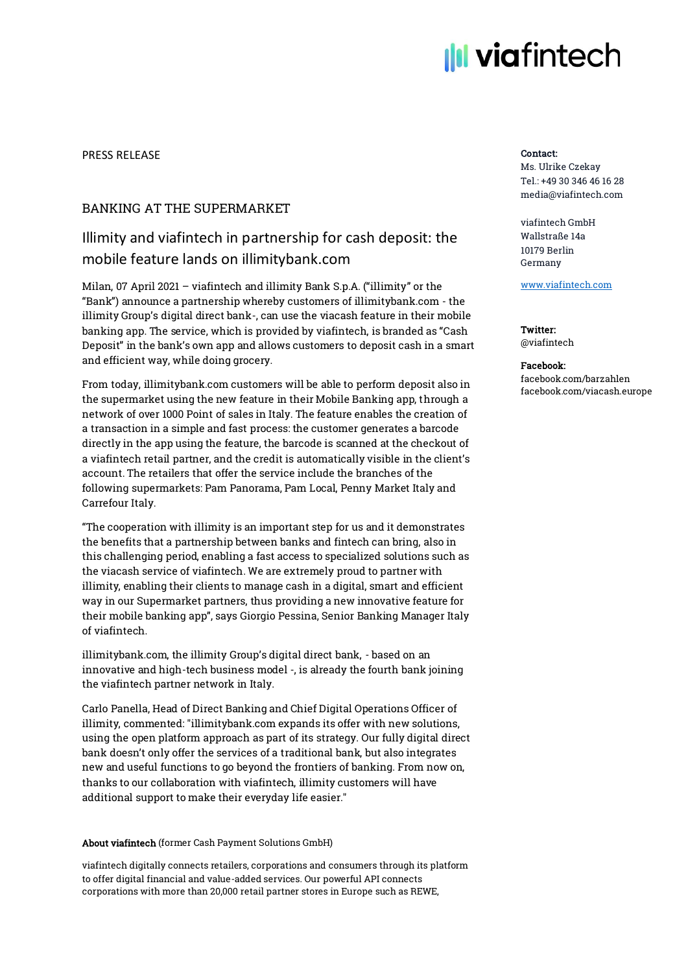# **Ill viafintech**

## PRESS RELEASE

## BANKING AT THE SUPERMARKET

## Illimity and viafintech in partnership for cash deposit: the mobile feature lands on illimitybank.com

Milan, 07 April 2021 – viafintech and illimity Bank S.p.A. ("illimity" or the "Bank") announce a partnership whereby customers of illimitybank.com - the illimity Group's digital direct bank-, can use the viacash feature in their mobile banking app. The service, which is provided by viafintech, is branded as "Cash Deposit" in the bank's own app and allows customers to deposit cash in a smart and efficient way, while doing grocery.

From today, illimitybank.com customers will be able to perform deposit also in the supermarket using the new feature in their Mobile Banking app, through a network of over 1000 Point of sales in Italy. The feature enables the creation of a transaction in a simple and fast process: the customer generates a barcode directly in the app using the feature, the barcode is scanned at the checkout of a viafintech retail partner, and the credit is automatically visible in the client's account. The retailers that offer the service include the branches of the following supermarkets: Pam Panorama, Pam Local, Penny Market Italy and Carrefour Italy.

"The cooperation with illimity is an important step for us and it demonstrates the benefits that a partnership between banks and fintech can bring, also in this challenging period, enabling a fast access to specialized solutions such as the viacash service of viafintech. We are extremely proud to partner with illimity, enabling their clients to manage cash in a digital, smart and efficient way in our Supermarket partners, thus providing a new innovative feature for their mobile banking app", says Giorgio Pessina, Senior Banking Manager Italy of viafintech.

illimitybank.com, the illimity Group's digital direct bank, - based on an innovative and high-tech business model -, is already the fourth bank joining the viafintech partner network in Italy.

Carlo Panella, Head of Direct Banking and Chief Digital Operations Officer of illimity, commented: "illimitybank.com expands its offer with new solutions, using the open platform approach as part of its strategy. Our fully digital direct bank doesn't only offer the services of a traditional bank, but also integrates new and useful functions to go beyond the frontiers of banking. From now on, thanks to our collaboration with viafintech, illimity customers will have additional support to make their everyday life easier."

## About viafintech (former Cash Payment Solutions GmbH)

viafintech digitally connects retailers, corporations and consumers through its platform to offer digital financial and value-added services. Our powerful API connects corporations with more than 20,000 retail partner stores in Europe such as REWE,

## Contact:

Ms. Ulrike Czekay Tel.: +49 30 346 46 16 28 media@viafintech.com

viafintech GmbH Wallstraße 14a 10179 Berlin Germany

[www.viafintech.com](http://www.viafintech.com/)

## Twitter: @viafintech

#### Facebook: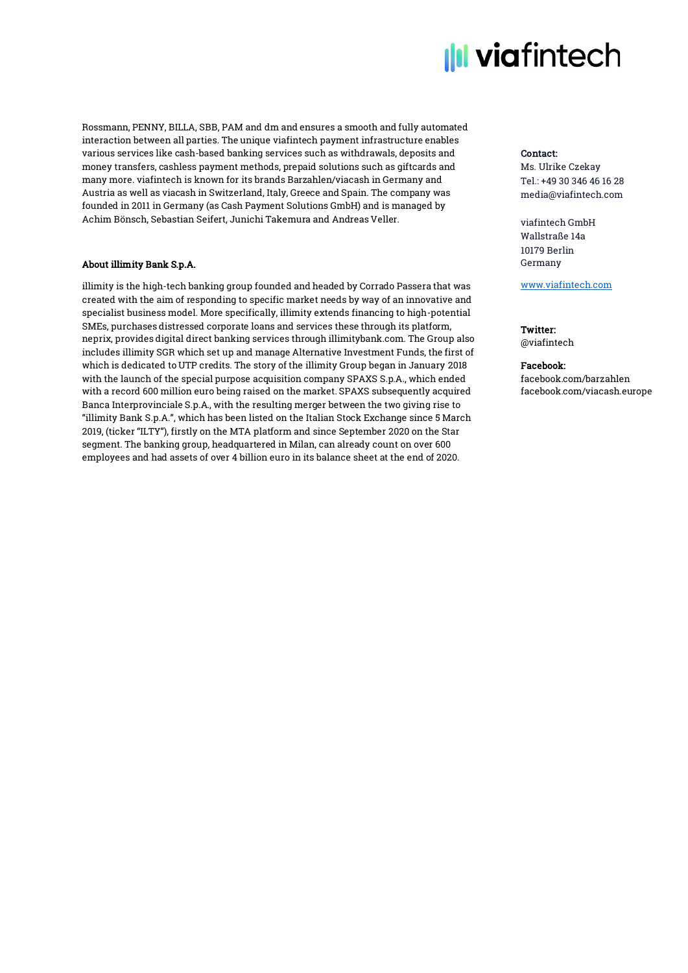

Rossmann, PENNY, BILLA, SBB, PAM and dm and ensures a smooth and fully automated interaction between all parties. The unique viafintech payment infrastructure enables various services like cash-based banking services such as withdrawals, deposits and money transfers, cashless payment methods, prepaid solutions such as giftcards and many more. viafintech is known for its brands Barzahlen/viacash in Germany and Austria as well as viacash in Switzerland, Italy, Greece and Spain. The company was founded in 2011 in Germany (as Cash Payment Solutions GmbH) and is managed by Achim Bönsch, Sebastian Seifert, Junichi Takemura and Andreas Veller.

## About illimity Bank S.p.A.

illimity is the high-tech banking group founded and headed by Corrado Passera that was created with the aim of responding to specific market needs by way of an innovative and specialist business model. More specifically, illimity extends financing to high-potential SMEs, purchases distressed corporate loans and services these through its platform, neprix, provides digital direct banking services through illimitybank.com. The Group also includes illimity SGR which set up and manage Alternative Investment Funds, the first of which is dedicated to UTP credits. The story of the illimity Group began in January 2018 with the launch of the special purpose acquisition company SPAXS S.p.A., which ended with a record 600 million euro being raised on the market. SPAXS subsequently acquired Banca Interprovinciale S.p.A., with the resulting merger between the two giving rise to "illimity Bank S.p.A.", which has been listed on the Italian Stock Exchange since 5 March 2019, (ticker "ILTY"), firstly on the MTA platform and since September 2020 on the Star segment. The banking group, headquartered in Milan, can already count on over 600 employees and had assets of over 4 billion euro in its balance sheet at the end of 2020.

## Contact:

Ms. Ulrike Czekay Tel.: +49 30 346 46 16 28 media@viafintech.com

viafintech GmbH Wallstraße 14a 10179 Berlin Germany

[www.viafintech.com](http://www.viafintech.com/)

## Twitter:

@viafintech

## Facebook: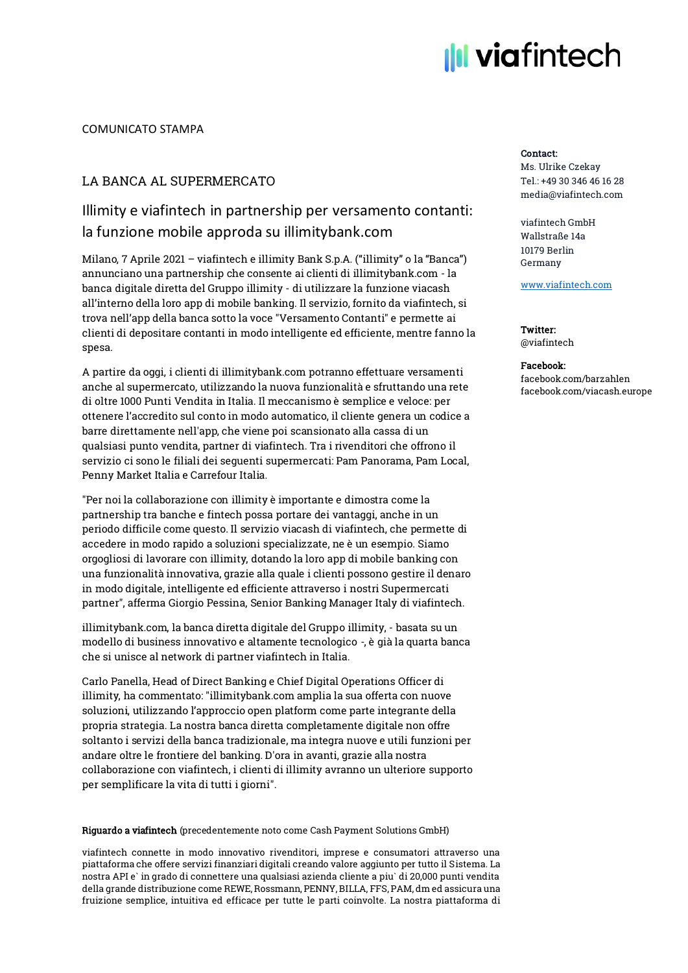# **III** viafintech

## COMUNICATO STAMPA

## LA BANCA AL SUPERMERCATO

## Illimity e viafintech in partnership per versamento contanti: la funzione mobile approda su illimitybank.com

Milano, 7 Aprile 2021 – viafintech e illimity Bank S.p.A. ("illimity" o la "Banca") annunciano una partnership che consente ai clienti di illimitybank.com - la banca digitale diretta del Gruppo illimity - di utilizzare la funzione viacash all'interno della loro app di mobile banking. Il servizio, fornito da viafintech, si trova nell'app della banca sotto la voce "Versamento Contanti" e permette ai clienti di depositare contanti in modo intelligente ed efficiente, mentre fanno la spesa.

A partire da oggi, i clienti di illimitybank.com potranno effettuare versamenti anche al supermercato, utilizzando la nuova funzionalità e sfruttando una rete di oltre 1000 Punti Vendita in Italia. Il meccanismo è semplice e veloce: per ottenere l'accredito sul conto in modo automatico, il cliente genera un codice a barre direttamente nell'app, che viene poi scansionato alla cassa di un qualsiasi punto vendita, partner di viafintech. Tra i rivenditori che offrono il servizio ci sono le filiali dei seguenti supermercati: Pam Panorama, Pam Local, Penny Market Italia e Carrefour Italia.

"Per noi la collaborazione con illimity è importante e dimostra come la partnership tra banche e fintech possa portare dei vantaggi, anche in un periodo difficile come questo. Il servizio viacash di viafintech, che permette di accedere in modo rapido a soluzioni specializzate, ne è un esempio. Siamo orgogliosi di lavorare con illimity, dotando la loro app di mobile banking con una funzionalità innovativa, grazie alla quale i clienti possono gestire il denaro in modo digitale, intelligente ed efficiente attraverso i nostri Supermercati partner", afferma Giorgio Pessina, Senior Banking Manager Italy di viafintech.

illimitybank.com, la banca diretta digitale del Gruppo illimity, - basata su un modello di business innovativo e altamente tecnologico -, è già la quarta banca che si unisce al network di partner viafintech in Italia.

Carlo Panella, Head of Direct Banking e Chief Digital Operations Officer di illimity, ha commentato: "illimitybank.com amplia la sua offerta con nuove soluzioni, utilizzando l'approccio open platform come parte integrante della propria strategia. La nostra banca diretta completamente digitale non offre soltanto i servizi della banca tradizionale, ma integra nuove e utili funzioni per andare oltre le frontiere del banking. D'ora in avanti, grazie alla nostra collaborazione con viafintech, i clienti di illimity avranno un ulteriore supporto per semplificare la vita di tutti i giorni".

### Riguardo a viafintech (precedentemente noto come Cash Payment Solutions GmbH)

viafintech connette in modo innovativo rivenditori, imprese e consumatori attraverso una piattaforma che offere servizi finanziari digitali creando valore aggiunto per tutto il Sistema. La nostra API e` in grado di connettere una qualsiasi azienda cliente a piu` di 20,000 punti vendita della grande distribuzione come REWE, Rossmann, PENNY, BILLA, FFS, PAM, dm ed assicura una fruizione semplice, intuitiva ed efficace per tutte le parti coinvolte. La nostra piattaforma di

## Contact:

Ms. Ulrike Czekay Tel.: +49 30 346 46 16 28 media@viafintech.com

viafintech GmbH Wallstraße 14a 10179 Berlin Germany

[www.viafintech.com](http://www.viafintech.com/)

Twitter: @viafintech

### Facebook: